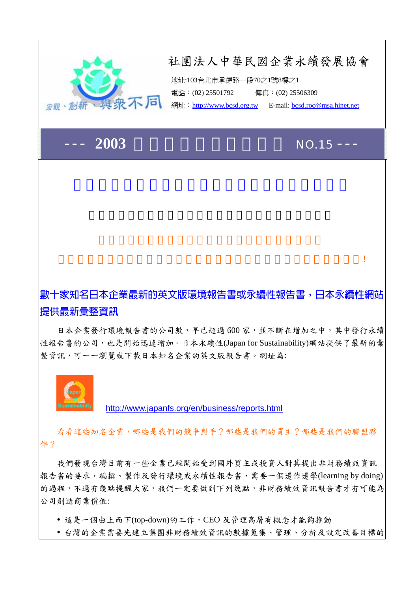

# --- **2003** 企業永續發展電子通訊 NO.15 ---

# **數十家知名日本企業最新的英文版環境報告書或永續性報告書,日本永續性網站** |提供最新量整資訊

者先生的不景氣而來,這是我們信線的是,就是我們信線的是,就是我們信線的是,

日本企業發行環境報告書的公司數,早己超過600家,並不斷在增加之中,其中發行永續 性報告書的公司,也是開始迅速增加。日本永續性(Japan for Sustainability)網站提供了最新的彙 整資訊,可一一瀏覽或下載日本知名企業的英文版報告書。網址為:



<http://www.japanfs.org/en/business/reports.html>

看看這些知名企業,哪些是我們的競爭對手?哪些是我們的買主?哪些是我們的聯盟夥 伴?

我們發現台灣目前有一些企業已經開始受到國外買主或投資人對其提出非財務績效資訊 報告書的要求,編撰、製作及發行環境或永續性報告書,需要一個邊作邊學(learning by doing) 的過程,不過有幾點提醒大家,我們一定要做到下列幾點,非財務績效資訊報告書才有可能為 公司創造商業價值:

• 這是一個由上而下(top-down)的工作, CEO 及管理高層有概念才能夠推動

y 台灣的企業需要先建立集團非財務績效資訊的數據蒐集、管理、分析及設定改善目標的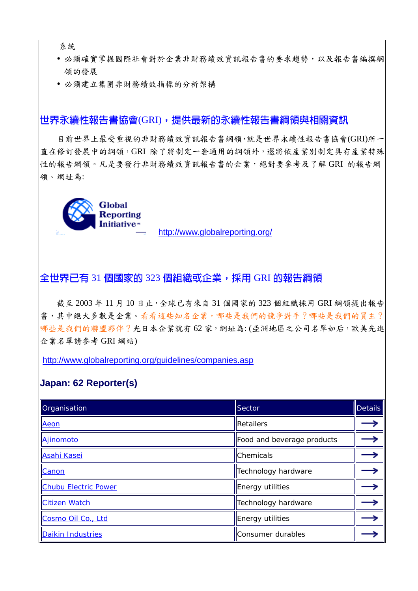系統

- 必須確實掌握國際社會對於企業非財務績效資訊報告書的要求趨勢,以及報告書編撰綱 領的發展
- y 必須建立集團非財務績效指標的分析架構

也界永續性報告書協會(GRI),提供最新的永續性報告書綱領與相關資訊

目前世界上最受重視的非財務績效資訊報告書綱領,就是世界永續性報告書協會(GRI)所一 直在修訂發展中的綱領,GRI 除了將制定一套通用的綱領外,還將依產業別制定具有產業特殊 性的報告綱領。凡是要發行非財務績效資訊報告書的企業,絕對要參考及了解 GRI 的報告綱 領。網址為:



<http://www.globalreporting.org/>

#### $\triangle$ 世界已有 31 個國家的 323 個組織或企業,採用 GRI 的報告綱領

截至 2003年11月10日止,全球已有來自31個國家的 323個組織採用 GRI 綱領提出報告 書,其中絕大多數是企業。看看這些知名企業,哪些是我們的競爭對手?哪些是我們的買主? 哪些是我們的聯盟夥伴?光日本企業就有62家,網址為: (亞洲地區之公司名單如后,歐美先進 企業名單請參考 GRI 網站)

<http://www.globalreporting.org/guidelines/companies.asp>

### **Japan: 62 Reporter(s)**

| Organisation         | Sector                     | <b>Details</b> |
|----------------------|----------------------------|----------------|
| Aeon                 | Retailers                  |                |
| Ajinomoto            | Food and beverage products |                |
| Asahi Kasei          | Chemicals                  |                |
| Canon                | Technology hardware        |                |
| Chubu Electric Power | <b>Energy utilities</b>    |                |
| <b>Citizen Watch</b> | Technology hardware        |                |
| Cosmo Oil Co., Ltd   | Energy utilities           |                |
| Daikin Industries    | Consumer durables          |                |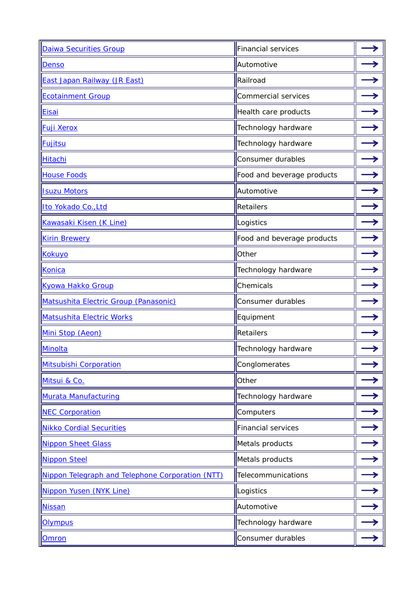| Daiwa Securities Group                           | <b>Financial services</b>  |   |
|--------------------------------------------------|----------------------------|---|
| Denso                                            | Automotive                 |   |
| <b>East Japan Railway (JR East)</b>              | Railroad                   |   |
| <b>Ecotainment Group</b>                         | Commercial services        |   |
| Eisai                                            | Health care products       |   |
| <b>Fuji Xerox</b>                                | Technology hardware        |   |
| Fujitsu                                          | Technology hardware        |   |
| <b>Hitachi</b>                                   | Consumer durables          |   |
| <b>House Foods</b>                               | Food and beverage products | → |
| <b>Isuzu Motors</b>                              | Automotive                 |   |
| Ito Yokado Co., Ltd                              | Retailers                  |   |
| Kawasaki Kisen (K Line)                          | Logistics                  |   |
| <b>Kirin Brewery</b>                             | Food and beverage products |   |
| <b>Kokuyo</b>                                    | Other                      |   |
| Konica                                           | Technology hardware        |   |
| <b>Kyowa Hakko Group</b>                         | Chemicals                  |   |
| Matsushita Electric Group (Panasonic)            | Consumer durables          |   |
| Matsushita Electric Works                        | Equipment                  |   |
| Mini Stop (Aeon)                                 | <b>Retailers</b>           |   |
| Minolta                                          | Technology hardware        |   |
| <b>Mitsubishi Corporation</b>                    | Conglomerates              |   |
| Mitsui & Co.                                     | Other                      |   |
| <b>Murata Manufacturing</b>                      | Technology hardware        |   |
| <b>NEC Corporation</b>                           | Computers                  |   |
| <b>Nikko Cordial Securities</b>                  | <b>Financial services</b>  |   |
| Nippon Sheet Glass                               | Metals products            |   |
| Nippon Steel                                     | Metals products            |   |
| Nippon Telegraph and Telephone Corporation (NTT) | Telecommunications         |   |
| Nippon Yusen (NYK Line)                          | Logistics                  |   |
| <b>Nissan</b>                                    | Automotive                 |   |
| <b>Olympus</b>                                   | Technology hardware        |   |
| Omron                                            | Consumer durables          |   |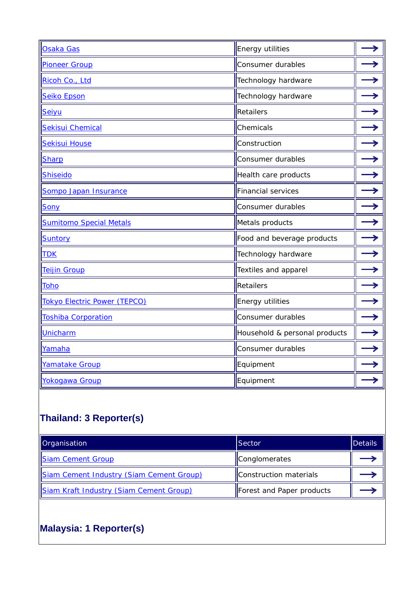| <b>Osaka Gas</b>               | <b>Energy utilities</b>       |  |
|--------------------------------|-------------------------------|--|
| Pioneer Group                  | Consumer durables             |  |
| Ricoh Co., Ltd                 | Technology hardware           |  |
| Seiko Epson                    | Technology hardware           |  |
| Seiyu                          | Retailers                     |  |
| Sekisui Chemical               | Chemicals                     |  |
| <b>Sekisui House</b>           | Construction                  |  |
| <b>Sharp</b>                   | Consumer durables             |  |
| <b>Shiseido</b>                | Health care products          |  |
| Sompo Japan Insurance          | Financial services            |  |
| Sony                           | Consumer durables             |  |
| <b>Sumitomo Special Metals</b> | Metals products               |  |
| <b>Suntory</b>                 | Food and beverage products    |  |
| <b>TDK</b>                     | Technology hardware           |  |
| <b>Teijin Group</b>            | Textiles and apparel          |  |
| <b>Toho</b>                    | Retailers                     |  |
| Tokyo Electric Power (TEPCO)   | <b>Energy utilities</b>       |  |
| <b>Toshiba Corporation</b>     | Consumer durables             |  |
| <b>Unicharm</b>                | Household & personal products |  |
| Yamaha                         | Consumer durables             |  |
| Yamatake Group                 | Equipment                     |  |
| Yokogawa Group                 | Equipment                     |  |

# **Thailand: 3 Reporter(s)**

| Organisation                             | Sector                    | Details |
|------------------------------------------|---------------------------|---------|
| <b>Siam Cement Group</b>                 | Conglomerates             |         |
| Siam Cement Industry (Siam Cement Group) | Construction materials    |         |
| Siam Kraft Industry (Siam Cement Group)  | Forest and Paper products |         |

# **Malaysia: 1 Reporter(s)**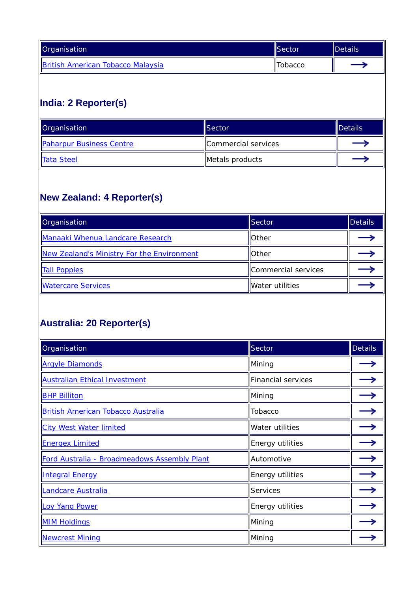| Organisation                      | <b>Sector</b> | Details |
|-----------------------------------|---------------|---------|
| British American Tobacco Malaysia | ' Tobacco     | —       |

## **India: 2 Reporter(s)**

| Organisation                    | Sector              | Details |
|---------------------------------|---------------------|---------|
| <b>Paharpur Business Centre</b> | Commercial services | —       |
| Tata Steel                      | Metals products     | --      |

## **New Zealand: 4 Reporter(s)**

| Organisation                               | <b>Sector</b>       | <b>Details</b> |
|--------------------------------------------|---------------------|----------------|
| Manaaki Whenua Landcare Research           | <b>I</b> Other      |                |
| New Zealand's Ministry For the Environment | <b>I</b> Other      |                |
| <b>Tall Poppies</b>                        | Commercial services |                |
| <b>Watercare Services</b>                  | Water utilities     |                |

# **Australia: 20 Reporter(s)**

| Organisation                                 | Sector                    | <b>Details</b> |
|----------------------------------------------|---------------------------|----------------|
| <b>Argyle Diamonds</b>                       | Mining                    |                |
| <b>Australian Ethical Investment</b>         | <b>Financial services</b> |                |
| <b>BHP Billiton</b>                          | Mining                    |                |
| <b>British American Tobacco Australia</b>    | <b>Tobacco</b>            |                |
| <b>City West Water limited</b>               | Water utilities           |                |
| <b>Energex Limited</b>                       | Energy utilities          |                |
| Ford Australia - Broadmeadows Assembly Plant | Automotive                |                |
| <b>Integral Energy</b>                       | Energy utilities          |                |
| Landcare Australia                           | Services                  |                |
| Loy Yang Power                               | Energy utilities          |                |
| <b>MIM Holdings</b>                          | Mining                    |                |
| <b>Newcrest Mining</b>                       | Mining                    |                |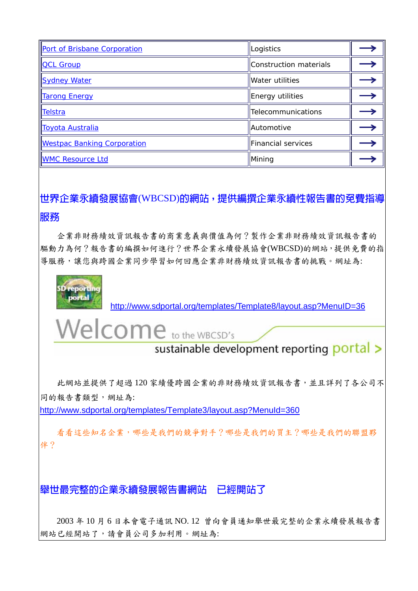| <b>Port of Brisbane Corporation</b> | Logistics              |  |
|-------------------------------------|------------------------|--|
| <b>QCL Group</b>                    | Construction materials |  |
| <b>Sydney Water</b>                 | Water utilities        |  |
| <b>Tarong Energy</b>                | Energy utilities       |  |
| Telstra                             | Telecommunications     |  |
| Toyota Australia                    | <b>Automotive</b>      |  |
| <b>Westpac Banking Corporation</b>  | Financial services     |  |
| <b>WMC Resource Ltd</b>             | Mining                 |  |

 $|$ 世界企業永續發展協會(WBCSD)的網站,提供編撰企業永續性報告書的免費指導 **服務** 

企業非財務績效資訊報告書的商業意義與價值為何?製作企業非財務績效資訊報告書的 驅動力為何?報告書的編撰如何進行?世界企業永續發展協會(WBCSD)的網站,提供免費的指 導服務,讓您與跨國企業同步學習如何回應企業非財務績效資訊報告書的挑戰。網址為:



<http://www.sdportal.org/templates/Template8/layout.asp?MenuID=36>

Welcome to the WBCSD's

sustainable development reporting portal >

此網站並提供了超過 120 家績優跨國企業的非財務績效資訊報告書,並且詳列了各公司不 同的報告書類型,網址為:

<http://www.sdportal.org/templates/Template3/layout.asp?MenuId=360>

看看這些知名企業,哪些是我們的競爭對手?哪些是我們的買主?哪些是我們的聯盟夥 伴?

舉世最完整的企業永續發展報告書網站 已經開站了

2003 年 10 月 6 日本會電子通訊 NO. 12 曾向會員通知舉世最完整的企業永續發展報告書 網站已經開站了,請會員公司多加利用。網址為: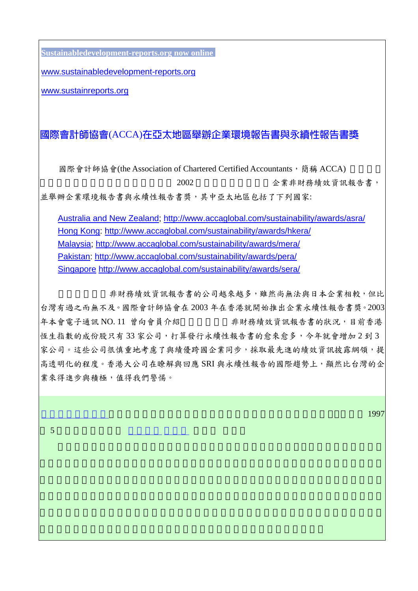**[Sustainabledevelopment-reports.org now online](http://www.sustainabledevelopment-reports.org/)** 

[www.sustainabledevelopment-reports.org](http://www.sustainabledevelopment-reports.org/)

[www.sustainreports.org](http://www.sustainreports.org/)

國際會計師協會(ACCA)在亞太地區舉辦企業環境報告書與永續性報告書獎

國際會計師協會(the Association of Chartered Certified Accountants,簡稱 ACCA)  $2002$  企業非財務績效資訊報告書, 並舉辦企業環境報告書與永續性報告書獎,其中亞太地區包括了下列國家:

[Australia and New Zealand](http://www.accaglobal.com/sustainability/awards/asra/); <http://www.accaglobal.com/sustainability/awards/asra/> [Hong Kong](http://www.accaglobal.com/sustainability/awards/hkera/):<http://www.accaglobal.com/sustainability/awards/hkera/> [Malaysia; http://www.accaglobal.com/sustainability/awards/mera/](http://www.accaglobal.com/sustainability/awards/mera/) [Pakistan](http://www.accaglobal.com/sustainability/awards/pera/): <http://www.accaglobal.com/sustainability/awards/pera/> [Singapore](http://www.accaglobal.com/sustainability/awards/sera/) <http://www.accaglobal.com/sustainability/awards/sera/>

非財務績效資訊報告書的公司越來越多,雖然尚無法與日本企業相較,但比 台灣有過之而無不及。國際會計師協會在 2003 年在香港就開始推出企業永續性報告書獎。2003 年本會電子通訊 NO. 11 曾向會員介紹香港企業提出非財務績效資訊報告書的狀況,目前香港 恆生指數的成份股只有33家公司,打算發行永續性報告書的愈來愈多,今年就會增加2到3 家公司。這些公司很慎重地考慮了與績優跨國企業同步,採取最先進的績效資訊披露綱領,提 高透明化的程度。香港大公司在瞭解與回應 SRI 與永續性報告的國際趨勢上,顯然比台灣的企 業來得進步與積極,值得我們警惕。

 $1997\,$ 

5 <mark>1 月 年 10 月 年 10 月 年 10 月 年 10 月 年 1</mark>